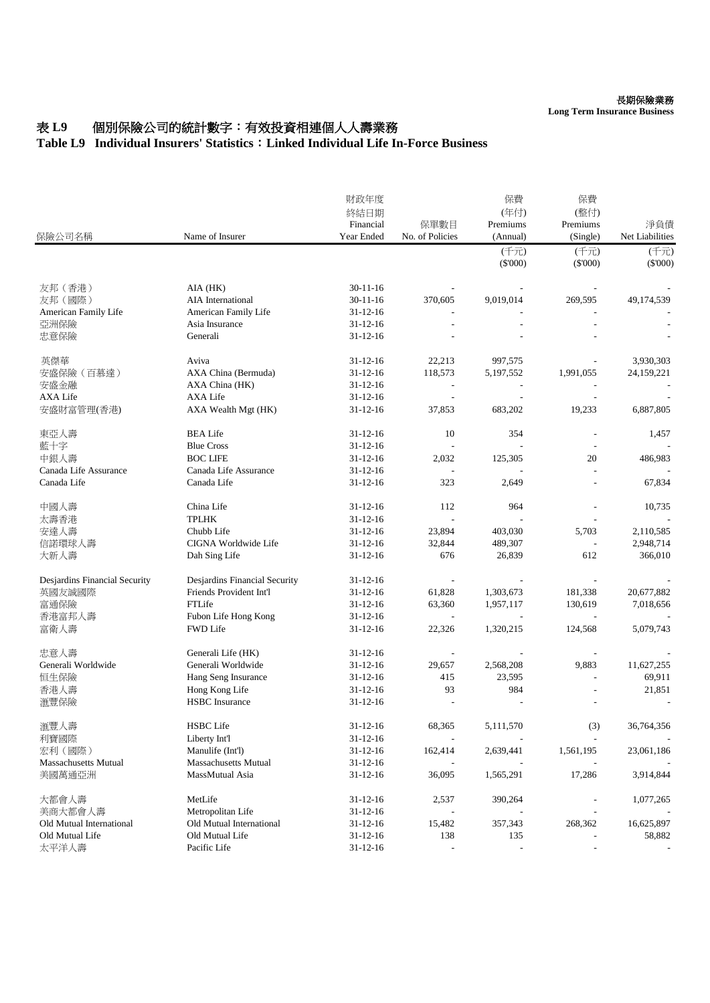**Long Term Insurance Business**

## 表 L9 個別保險公司的統計數字:有效投資相連個人人壽業務

## **Table L9 Individual Insurers' Statistics**:**Linked Individual Life In-Force Business**

| 保險公司名稱                                      | Name of Insurer                             | 財政年度<br>終結日期<br>Financial<br>Year Ended | 保單數目<br>No. of Policies | 保費<br>(年付)<br>Premiums<br>(Annual) | 保費<br>(整付)<br>Premiums<br>(Single) | 淨負債<br>Net Liabilities |
|---------------------------------------------|---------------------------------------------|-----------------------------------------|-------------------------|------------------------------------|------------------------------------|------------------------|
|                                             |                                             |                                         |                         | (千元)<br>(\$'000)                   | (千元)<br>$(\$'000)$                 | (千元)<br>(S'000)        |
|                                             |                                             |                                         |                         |                                    |                                    |                        |
| 友邦(香港)                                      | AIA (HK)                                    | $30 - 11 - 16$                          |                         |                                    |                                    |                        |
| 友邦(國際)                                      | AIA International                           | $30 - 11 - 16$                          | 370,605                 | 9,019,014                          | 269,595                            | 49,174,539             |
| American Family Life                        | American Family Life                        | 31-12-16                                |                         |                                    |                                    |                        |
| 亞洲保險                                        | Asia Insurance                              | $31 - 12 - 16$                          |                         |                                    |                                    |                        |
| 忠意保險                                        | Generali                                    | $31 - 12 - 16$                          |                         |                                    |                                    |                        |
| 英傑華                                         | Aviva                                       | 31-12-16                                | 22,213                  | 997,575                            |                                    | 3,930,303              |
| 安盛保險 (百慕達)                                  | AXA China (Bermuda)                         | $31 - 12 - 16$                          | 118,573                 | 5,197,552                          | 1,991,055                          | 24,159,221             |
| 安盛金融                                        | AXA China (HK)                              | $31 - 12 - 16$                          |                         |                                    |                                    |                        |
| AXA Life                                    | AXA Life                                    | 31-12-16                                |                         |                                    |                                    |                        |
| 安盛財富管理(香港)                                  | AXA Wealth Mgt (HK)                         | $31 - 12 - 16$                          | 37,853                  | 683,202                            | 19,233                             | 6,887,805              |
| 東亞人壽                                        | <b>BEA Life</b>                             | $31 - 12 - 16$                          | 10                      | 354                                |                                    | 1,457                  |
| 藍十字                                         | <b>Blue Cross</b>                           | $31 - 12 - 16$                          |                         |                                    |                                    |                        |
| 中銀人壽                                        | <b>BOC LIFE</b>                             | $31 - 12 - 16$                          | 2,032                   | 125,305                            | 20                                 | 486,983                |
| Canada Life Assurance                       | Canada Life Assurance                       | $31 - 12 - 16$                          |                         |                                    |                                    |                        |
| Canada Life                                 | Canada Life                                 | 31-12-16                                | 323                     | 2,649                              |                                    | 67,834                 |
| 中國人壽                                        | China Life                                  | $31 - 12 - 16$                          | 112                     | 964                                |                                    | 10,735                 |
| 太壽香港                                        | <b>TPLHK</b>                                | $31 - 12 - 16$                          | $\sim$                  |                                    |                                    |                        |
| 安達人壽                                        | Chubb Life                                  | 31-12-16                                | 23,894                  | 403,030                            | 5,703                              | 2,110,585              |
| 信諾環球人壽                                      | CIGNA Worldwide Life                        | $31 - 12 - 16$                          | 32,844                  | 489,307                            |                                    | 2,948,714              |
| 大新人壽                                        | Dah Sing Life                               | 31-12-16                                | 676                     | 26,839                             | 612                                | 366,010                |
| Desjardins Financial Security               | Desjardins Financial Security               | 31-12-16                                |                         |                                    |                                    |                        |
| 英國友誠國際                                      | Friends Provident Int'l                     | $31 - 12 - 16$                          | 61,828                  | 1,303,673                          | 181,338                            | 20,677,882             |
| 富通保險                                        | FTLife                                      | 31-12-16                                | 63,360                  | 1,957,117                          | 130,619                            | 7,018,656              |
| 香港富邦人壽                                      | Fubon Life Hong Kong                        | 31-12-16                                |                         |                                    |                                    |                        |
| 富衛人壽                                        | FWD Life                                    | 31-12-16                                | 22,326                  | 1,320,215                          | 124,568                            | 5,079,743              |
| 忠意人壽                                        | Generali Life (HK)                          | $31 - 12 - 16$                          |                         |                                    |                                    |                        |
| Generali Worldwide                          | Generali Worldwide                          | 31-12-16                                | 29,657                  | 2,568,208                          | 9,883                              | 11,627,255             |
| 恒生保險                                        | Hang Seng Insurance                         | 31-12-16                                | 415                     | 23,595                             | $\overline{\phantom{a}}$           | 69,911                 |
| 香港人壽                                        | Hong Kong Life                              | 31-12-16                                | 93                      | 984                                |                                    | 21,851                 |
| 滙豐保險                                        | <b>HSBC</b> Insurance                       | $31 - 12 - 16$                          |                         |                                    |                                    | $\overline{a}$         |
|                                             |                                             |                                         |                         |                                    |                                    |                        |
| 滙豐人壽                                        | <b>HSBC</b> Life                            | $31 - 12 - 16$                          | 68,365                  | 5,111,570                          | (3)                                | 36,764,356             |
| 利寶國際<br>宏利 (國際)                             | Liberty Int'l<br>Manulife (Int'l)           | $31 - 12 - 16$<br>$31 - 12 - 16$        | 162,414                 | 2,639,441                          | 1,561,195                          | 23,061,186             |
| <b>Massachusetts Mutual</b>                 | Massachusetts Mutual                        | $31 - 12 - 16$                          |                         |                                    |                                    |                        |
| 美國萬通亞洲                                      | MassMutual Asia                             | 31-12-16                                | 36,095                  | 1,565,291                          | 17,286                             | 3,914,844              |
|                                             |                                             |                                         |                         |                                    |                                    |                        |
| 大都會人壽                                       | MetLife                                     | $31 - 12 - 16$                          | 2,537                   | 390,264                            |                                    | 1,077,265              |
| 美商大都會人壽                                     | Metropolitan Life                           | $31 - 12 - 16$                          |                         |                                    |                                    |                        |
| Old Mutual International<br>Old Mutual Life | Old Mutual International<br>Old Mutual Life | $31 - 12 - 16$                          | 15,482                  | 357,343                            | 268,362                            | 16,625,897             |
| 太平洋人壽                                       | Pacific Life                                | $31 - 12 - 16$<br>$31 - 12 - 16$        | 138                     | 135                                |                                    | 58,882                 |